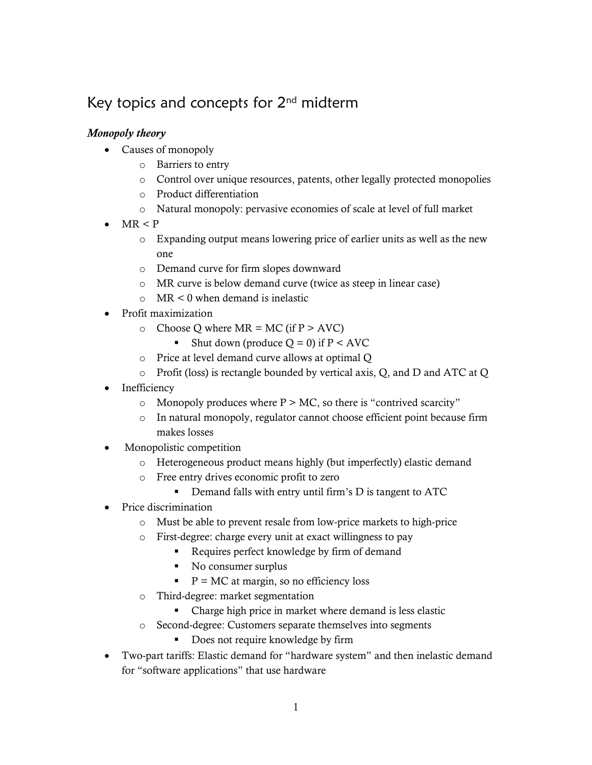# Key topics and concepts for  $2<sup>nd</sup>$  midterm

# *Monopoly theory*

- Causes of monopoly
	- o Barriers to entry
	- o Control over unique resources, patents, other legally protected monopolies
	- o Product differentiation
	- o Natural monopoly: pervasive economies of scale at level of full market
- $MR < P$ 
	- o Expanding output means lowering price of earlier units as well as the new one
	- o Demand curve for firm slopes downward
	- o MR curve is below demand curve (twice as steep in linear case)
	- o MR < 0 when demand is inelastic
- Profit maximization
	- o Choose Q where  $MR = MC$  (if  $P > AVC$ )
		- Shut down (produce  $Q = 0$ ) if  $P < AVC$
	- o Price at level demand curve allows at optimal Q
	- o Profit (loss) is rectangle bounded by vertical axis, Q, and D and ATC at Q
- Inefficiency
	- $\circ$  Monopoly produces where P  $>$  MC, so there is "contrived scarcity"
	- o In natural monopoly, regulator cannot choose efficient point because firm makes losses
- Monopolistic competition
	- o Heterogeneous product means highly (but imperfectly) elastic demand
	- o Free entry drives economic profit to zero
		- Demand falls with entry until firm's D is tangent to ATC
- Price discrimination
	- o Must be able to prevent resale from low-price markets to high-price
	- o First-degree: charge every unit at exact willingness to pay
		- Requires perfect knowledge by firm of demand
		- No consumer surplus
		- $P = MC$  at margin, so no efficiency loss
	- o Third-degree: market segmentation
		- Charge high price in market where demand is less elastic
	- o Second-degree: Customers separate themselves into segments
		- Does not require knowledge by firm
- Two-part tariffs: Elastic demand for "hardware system" and then inelastic demand for "software applications" that use hardware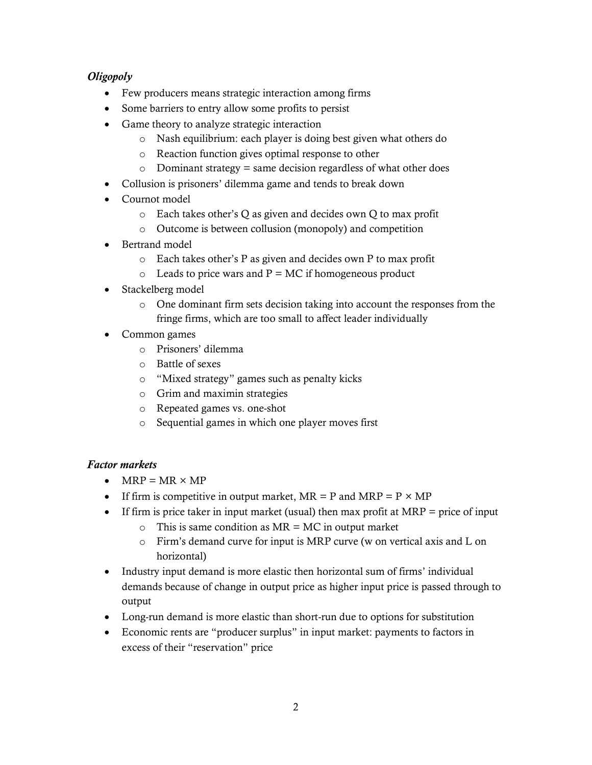# *Oligopoly*

- Few producers means strategic interaction among firms
- Some barriers to entry allow some profits to persist
- Game theory to analyze strategic interaction
	- o Nash equilibrium: each player is doing best given what others do
	- o Reaction function gives optimal response to other
	- $\circ$  Dominant strategy = same decision regardless of what other does
- Collusion is prisoners' dilemma game and tends to break down
- Cournot model
	- o Each takes other's Q as given and decides own Q to max profit
	- o Outcome is between collusion (monopoly) and competition
- Bertrand model
	- o Each takes other's P as given and decides own P to max profit
	- $\circ$  Leads to price wars and P = MC if homogeneous product
- Stackelberg model
	- o One dominant firm sets decision taking into account the responses from the fringe firms, which are too small to affect leader individually
- Common games
	- o Prisoners' dilemma
	- o Battle of sexes
	- o "Mixed strategy" games such as penalty kicks
	- o Grim and maximin strategies
	- o Repeated games vs. one-shot
	- o Sequential games in which one player moves first

# *Factor markets*

- $\bullet$  MRP = MR  $\times$  MP
- If firm is competitive in output market,  $MR = P$  and  $MRP = P \times MP$
- If firm is price taker in input market (usual) then max profit at  $MRP =$  price of input
	- $\circ$  This is same condition as MR = MC in output market
	- o Firm's demand curve for input is MRP curve (w on vertical axis and L on horizontal)
- Industry input demand is more elastic then horizontal sum of firms' individual demands because of change in output price as higher input price is passed through to output
- Long-run demand is more elastic than short-run due to options for substitution
- Economic rents are "producer surplus" in input market: payments to factors in excess of their "reservation" price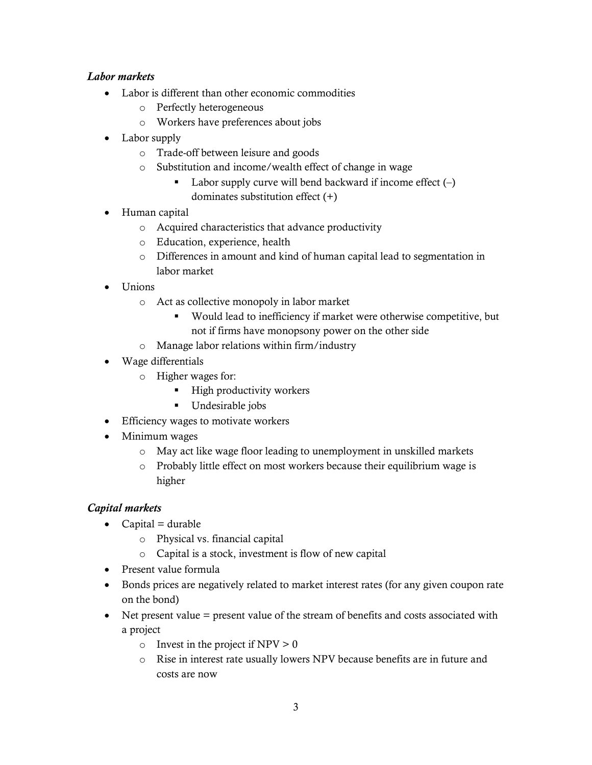# *Labor markets*

- Labor is different than other economic commodities
	- o Perfectly heterogeneous
	- o Workers have preferences about jobs
- Labor supply
	- o Trade-off between leisure and goods
	- o Substitution and income/wealth effect of change in wage
		- Labor supply curve will bend backward if income effect  $(-)$ dominates substitution effect (+)
- Human capital
	- o Acquired characteristics that advance productivity
	- o Education, experience, health
	- o Differences in amount and kind of human capital lead to segmentation in labor market
- Unions
	- o Act as collective monopoly in labor market
		- Would lead to inefficiency if market were otherwise competitive, but not if firms have monopsony power on the other side
	- o Manage labor relations within firm/industry
- Wage differentials
	- o Higher wages for:
		- **High productivity workers**
		- **Undesirable jobs**
- Efficiency wages to motivate workers
- Minimum wages
	- o May act like wage floor leading to unemployment in unskilled markets
	- o Probably little effect on most workers because their equilibrium wage is higher

# *Capital markets*

- $\bullet$  Capital = durable
	- o Physical vs. financial capital
	- o Capital is a stock, investment is flow of new capital
- Present value formula
- Bonds prices are negatively related to market interest rates (for any given coupon rate on the bond)
- Net present value = present value of the stream of benefits and costs associated with a project
	- o Invest in the project if  $NPV > 0$
	- o Rise in interest rate usually lowers NPV because benefits are in future and costs are now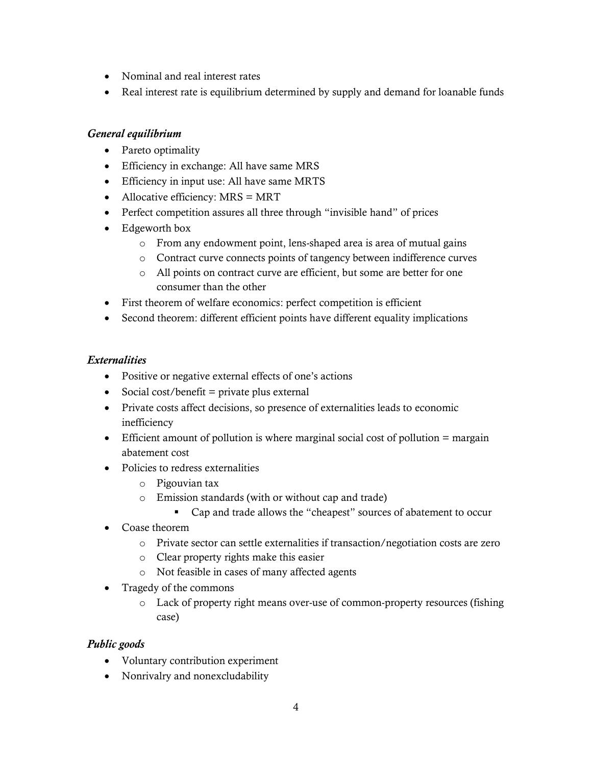- Nominal and real interest rates
- Real interest rate is equilibrium determined by supply and demand for loanable funds

#### *General equilibrium*

- Pareto optimality
- Efficiency in exchange: All have same MRS
- Efficiency in input use: All have same MRTS
- $\bullet$  Allocative efficiency: MRS = MRT
- Perfect competition assures all three through "invisible hand" of prices
- Edgeworth box
	- o From any endowment point, lens-shaped area is area of mutual gains
	- o Contract curve connects points of tangency between indifference curves
	- o All points on contract curve are efficient, but some are better for one consumer than the other
- First theorem of welfare economics: perfect competition is efficient
- Second theorem: different efficient points have different equality implications

# *Externalities*

- Positive or negative external effects of one's actions
- $\bullet$  Social cost/benefit = private plus external
- Private costs affect decisions, so presence of externalities leads to economic inefficiency
- Efficient amount of pollution is where marginal social cost of pollution = margain abatement cost
- Policies to redress externalities
	- o Pigouvian tax
	- o Emission standards (with or without cap and trade)
		- Cap and trade allows the "cheapest" sources of abatement to occur
- Coase theorem
	- o Private sector can settle externalities if transaction/negotiation costs are zero
	- o Clear property rights make this easier
	- o Not feasible in cases of many affected agents
- Tragedy of the commons
	- o Lack of property right means over-use of common-property resources (fishing case)

# *Public goods*

- Voluntary contribution experiment
- Nonrivalry and nonexcludability